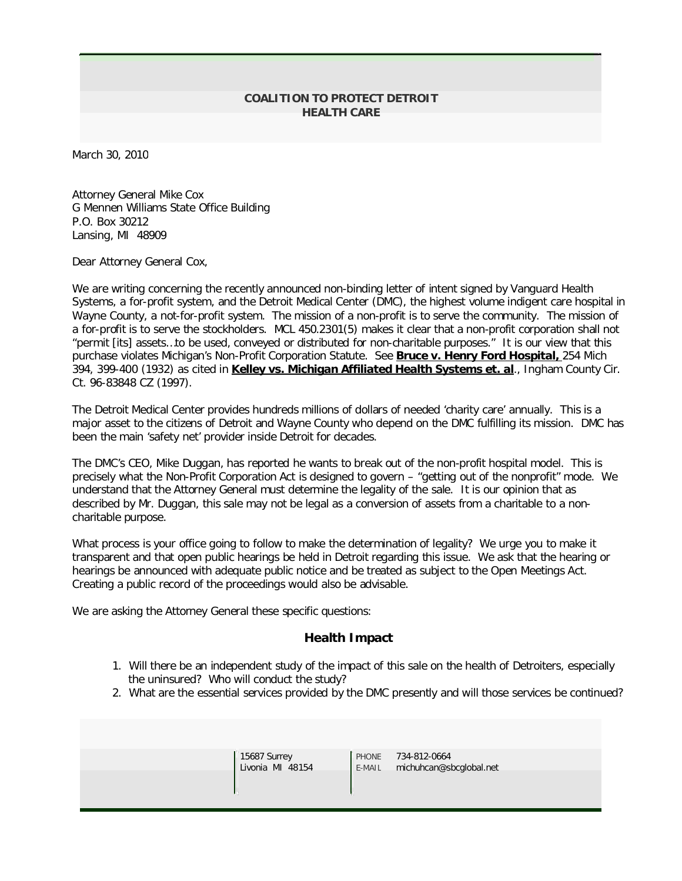## **COALITION TO PROTECT DETROIT HEALTH CARE**

March 30, 2010

Attorney General Mike Cox G Mennen Williams State Office Building P.O. Box 30212 Lansing, MI 48909

Dear Attorney General Cox,

We are writing concerning the recently announced non-binding letter of intent signed by Vanguard Health Systems, a for-profit system, and the Detroit Medical Center (DMC), the highest volume indigent care hospital in Wayne County, a not-for-profit system. The mission of a non-profit is to serve the community. The mission of a for-profit is to serve the stockholders. MCL 450.2301(5) makes it clear that a non-profit corporation shall not "permit [its] assets…to be used, conveyed or distributed for non-charitable purposes." It is our view that this purchase violates Michigan's Non-Profit Corporation Statute. See Bruce v. Henry Ford Hospital, 254 Mich 394, 399-400 (1932) as cited in Kelley vs. Michigan Affiliated Health Systems et. al., Ingham County Cir. Ct. 96-83848 CZ (1997).

The Detroit Medical Center provides hundreds millions of dollars of needed 'charity care' annually. This is a major asset to the citizens of Detroit and Wayne County who depend on the DMC fulfilling its mission. DMC has been the main 'safety net' provider inside Detroit for decades.

The DMC's CEO, Mike Duggan, has reported he wants to break out of the non-profit hospital model. This is precisely what the Non-Profit Corporation Act is designed to govern – "getting out of the nonprofit" mode. We understand that the Attorney General must determine the legality of the sale. It is our opinion that as described by Mr. Duggan, this sale may not be legal as a conversion of assets from a charitable to a noncharitable purpose.

What process is your office going to follow to make the determination of legality? We urge you to make it transparent and that open public hearings be held in Detroit regarding this issue. We ask that the hearing or hearings be announced with adequate public notice and be treated as subject to the Open Meetings Act. Creating a public record of the proceedings would also be advisable.

We are asking the Attorney General these specific questions:

## **Health Impact**

- 1. Will there be an independent study of the impact of this sale on the health of Detroiters, especially the uninsured? Who will conduct the study?
- 2. What are the essential services provided by the DMC presently and will those services be continued?

| 15687 Surrey<br>Livonia MI 48154 | <b>PHONE</b><br>E-MAIL | 734-812-0664<br>michuhcan@sbcglobal.net |  |
|----------------------------------|------------------------|-----------------------------------------|--|
|                                  |                        |                                         |  |
|                                  |                        |                                         |  |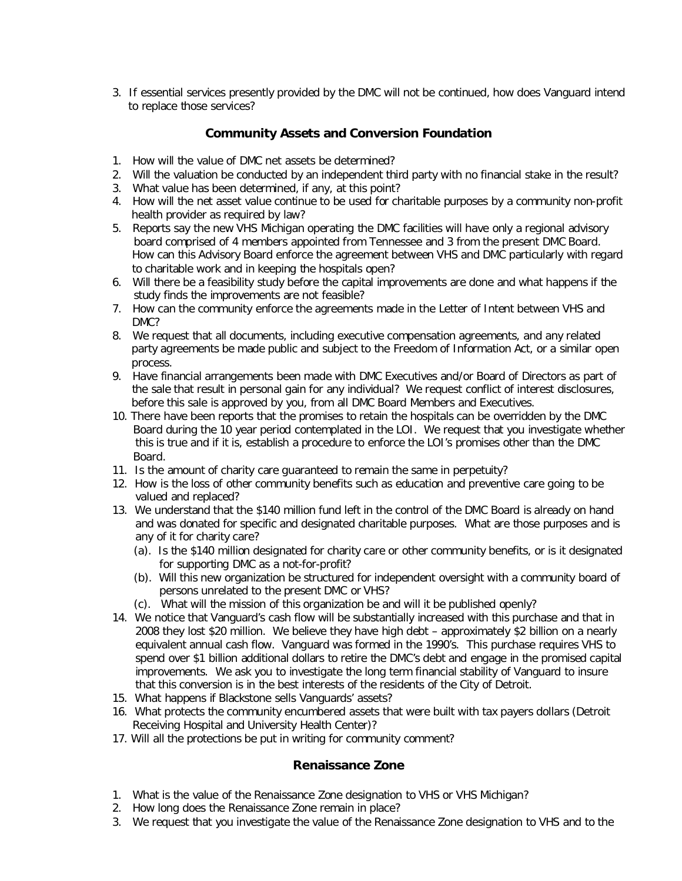3. If essential services presently provided by the DMC will not be continued, how does Vanguard intend to replace those services?

## **Community Assets and Conversion Foundation**

- 1. How will the value of DMC net assets be determined?
- 2. Will the valuation be conducted by an independent third party with no financial stake in the result?
- 3. What value has been determined, if any, at this point?
- 4. How will the net asset value continue to be used for charitable purposes by a community non-profit health provider as required by law?
- 5. Reports say the new VHS Michigan operating the DMC facilities will have only a regional advisory board comprised of 4 members appointed from Tennessee and 3 from the present DMC Board. How can this Advisory Board enforce the agreement between VHS and DMC particularly with regard to charitable work and in keeping the hospitals open?
- 6. Will there be a feasibility study before the capital improvements are done and what happens if the study finds the improvements are not feasible?
- 7. How can the community enforce the agreements made in the Letter of Intent between VHS and DMC?
- 8. We request that all documents, including executive compensation agreements, and any related party agreements be made public and subject to the Freedom of Information Act, or a similar open process.
- 9. Have financial arrangements been made with DMC Executives and/or Board of Directors as part of the sale that result in personal gain for any individual? We request conflict of interest disclosures, before this sale is approved by you, from all DMC Board Members and Executives.
- 10. There have been reports that the promises to retain the hospitals can be overridden by the DMC Board during the 10 year period contemplated in the LOI. We request that you investigate whether this is true and if it is, establish a procedure to enforce the LOI's promises other than the DMC Board.
- 11. Is the amount of charity care guaranteed to remain the same in perpetuity?
- 12. How is the loss of other community benefits such as education and preventive care going to be valued and replaced?
- 13. We understand that the \$140 million fund left in the control of the DMC Board is already on hand and was donated for specific and designated charitable purposes. What are those purposes and is any of it for charity care?
	- (a). Is the \$140 million designated for charity care or other community benefits, or is it designated for supporting DMC as a not-for-profit?
	- (b). Will this new organization be structured for independent oversight with a community board of persons unrelated to the present DMC or VHS?
	- (c). What will the mission of this organization be and will it be published openly?
- 14. We notice that Vanguard's cash flow will be substantially increased with this purchase and that in 2008 they lost \$20 million. We believe they have high debt – approximately \$2 billion on a nearly equivalent annual cash flow. Vanguard was formed in the 1990's. This purchase requires VHS to spend over \$1 billion additional dollars to retire the DMC's debt and engage in the promised capital improvements. We ask you to investigate the long term financial stability of Vanguard to insure that this conversion is in the best interests of the residents of the City of Detroit.
- 15. What happens if Blackstone sells Vanguards' assets?
- 16. What protects the community encumbered assets that were built with tax payers dollars (Detroit Receiving Hospital and University Health Center)?
- 17. Will all the protections be put in writing for community comment?

## **Renaissance Zone**

- 1. What is the value of the Renaissance Zone designation to VHS or VHS Michigan?
- 2. How long does the Renaissance Zone remain in place?
- 3. We request that you investigate the value of the Renaissance Zone designation to VHS and to the